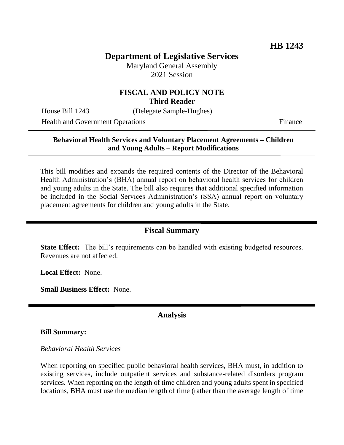# **Department of Legislative Services**

Maryland General Assembly 2021 Session

### **FISCAL AND POLICY NOTE Third Reader**

House Bill 1243 (Delegate Sample-Hughes)

Health and Government Operations Finance

# **Behavioral Health Services and Voluntary Placement Agreements – Children and Young Adults – Report Modifications**

This bill modifies and expands the required contents of the Director of the Behavioral Health Administration's (BHA) annual report on behavioral health services for children and young adults in the State. The bill also requires that additional specified information be included in the Social Services Administration's (SSA) annual report on voluntary placement agreements for children and young adults in the State.

### **Fiscal Summary**

**State Effect:** The bill's requirements can be handled with existing budgeted resources. Revenues are not affected.

**Local Effect:** None.

**Small Business Effect:** None.

## **Analysis**

#### **Bill Summary:**

#### *Behavioral Health Services*

When reporting on specified public behavioral health services, BHA must, in addition to existing services, include outpatient services and substance-related disorders program services. When reporting on the length of time children and young adults spent in specified locations, BHA must use the median length of time (rather than the average length of time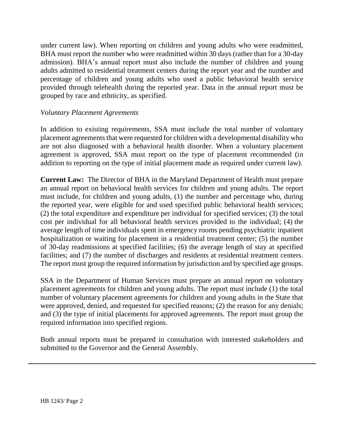under current law). When reporting on children and young adults who were readmitted, BHA must report the number who were readmitted within 30 days (rather than for a 30-day admission). BHA's annual report must also include the number of children and young adults admitted to residential treatment centers during the report year and the number and percentage of children and young adults who used a public behavioral health service provided through telehealth during the reported year. Data in the annual report must be grouped by race and ethnicity, as specified.

## *Voluntary Placement Agreements*

In addition to existing requirements, SSA must include the total number of voluntary placement agreements that were requested for children with a developmental disability who are not also diagnosed with a behavioral health disorder. When a voluntary placement agreement is approved, SSA must report on the type of placement recommended (in addition to reporting on the type of initial placement made as required under current law).

**Current Law:** The Director of BHA in the Maryland Department of Health must prepare an annual report on behavioral health services for children and young adults. The report must include, for children and young adults, (1) the number and percentage who, during the reported year, were eligible for and used specified public behavioral health services; (2) the total expenditure and expenditure per individual for specified services; (3) the total cost per individual for all behavioral health services provided to the individual; (4) the average length of time individuals spent in emergency rooms pending psychiatric inpatient hospitalization or waiting for placement in a residential treatment center; (5) the number of 30-day readmissions at specified facilities; (6) the average length of stay at specified facilities; and (7) the number of discharges and residents at residential treatment centers. The report must group the required information by jurisdiction and by specified age groups.

SSA in the Department of Human Services must prepare an annual report on voluntary placement agreements for children and young adults. The report must include (1) the total number of voluntary placement agreements for children and young adults in the State that were approved, denied, and requested for specified reasons; (2) the reason for any denials; and (3) the type of initial placements for approved agreements. The report must group the required information into specified regions.

Both annual reports must be prepared in consultation with interested stakeholders and submitted to the Governor and the General Assembly.